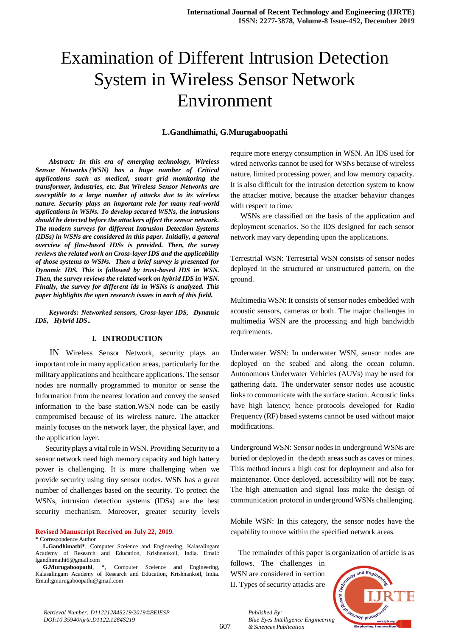# Examination of Different Intrusion Detection System in Wireless Sensor Network Environment

## **L.Gandhimathi, G.Murugaboopathi**

*Abstract: In this era of emerging technology, Wireless Sensor Networks (WSN) has a huge number of Critical applications such as medical, smart grid monitoring the transformer, industries, etc. But Wireless Sensor Networks are susceptible to a large number of attacks due to its wireless nature. Security plays an important role for many real-world applications in WSNs. To develop secured WSNs, the intrusions should be detected before the attackers affect the sensor network. The modern surveys for different Intrusion Detection Systems (IDSs) in WSNs are considered in this paper. Initially, a general overview of flow-based IDSs is provided. Then, the survey reviews the related work on Cross-layer IDS and the applicability of those systems to WSNs. Then a brief survey is presented for Dynamic IDS. This is followed by trust-based IDS in WSN. Then, the survey reviews the related work on hybrid IDS in WSN. Finally, the survey for different ids in WSNs is analyzed. This paper highlights the open research issues in each of this field.*

*Keywords: Networked sensors, Cross-layer IDS, Dynamic IDS, Hybrid IDS***.***.* 

#### **I. INTRODUCTION**

 IN Wireless Sensor Network, security plays an important role in many application areas, particularly for the military applications and healthcare applications. The sensor nodes are normally programmed to monitor or sense the Information from the nearest location and convey the sensed information to the base station.WSN node can be easily compromised because of its wireless nature. The attacker mainly focuses on the network layer, the physical layer, and the application layer.

 Security plays a vital role in WSN. Providing Security to a sensor network need high memory capacity and high battery power is challenging. It is more challenging when we provide security using tiny sensor nodes. WSN has a great number of challenges based on the security. To protect the WSNs, intrusion detection systems (IDSs) are the best security mechanism. Moreover, greater security levels

**Revised Manuscript Received on July 22, 2019**.

require more energy consumption in WSN. An IDS used for wired networks cannot be used for WSNs because of wireless nature, limited processing power, and low memory capacity. It is also difficult for the intrusion detection system to know the attacker motive, because the attacker behavior changes with respect to time.

 WSNs are classified on the basis of the application and deployment scenarios. So the IDS designed for each sensor network may vary depending upon the applications.

Terrestrial WSN: Terrestrial WSN consists of sensor nodes deployed in the structured or unstructured pattern, on the ground.

Multimedia WSN: It consists of sensor nodes embedded with acoustic sensors, cameras or both. The major challenges in multimedia WSN are the processing and high bandwidth requirements.

Underwater WSN: In underwater WSN, sensor nodes are deployed on the seabed and along the ocean column. Autonomous Underwater Vehicles (AUVs) may be used for gathering data. The underwater sensor nodes use acoustic links to communicate with the surface station. Acoustic links have high latency; hence protocols developed for Radio Frequency (RF) based systems cannot be used without major modifications.

Underground WSN: Sensor nodes in underground WSNs are buried or deployed in the depth areas such as caves or mines. This method incurs a high cost for deployment and also for maintenance. Once deployed, accessibility will not be easy. The high attenuation and signal loss make the design of communication protocol in underground WSNs challenging.

Mobile WSN: In this category, the sensor nodes have the capability to move within the specified network areas.

The remainder of this paper is organization of article is as

follows. The challenges in WSN are considered in section II. Types of security attacks are

*& Sciences Publication* 

*Published By:*



*Retrieval Number: D11221284S219/2019©BEIESP DOI:10.35940/ijrte.D1122.1284S219*

**<sup>\*</sup>** Correspondence Author

**L.Gandhimathi\***, Computer Sceience and Engineering, Kalasalingam Academy of Research and Education, Krishnankoil, India. Email: lgandhimathi6@gmail.com

**G.Murugaboopathi**, **\***, Computer Sceience and Engineering, Kalasalingam Academy of Research and Education, Krishnankoil, India. Email:gmurugaboopathi@gmail.com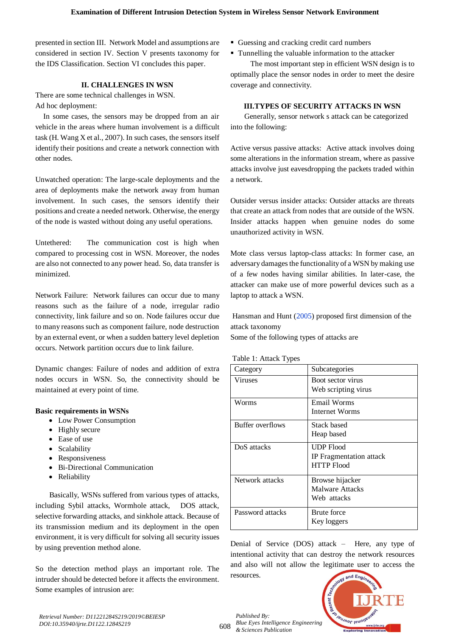presented in section III.Network Model and assumptions are considered in section IV. Section V presents taxonomy for the IDS Classification. Section VI concludes this paper.

# **II. CHALLENGES IN WSN**

There are some technical challenges in WSN. Ad hoc deployment:

 In some cases, the sensors may be dropped from an air vehicle in the areas where human involvement is a difficult task (H. Wang X et al., 2007). In such cases, the sensors itself identify their positions and create a network connection with other nodes.

Unwatched operation: The large-scale deployments and the area of deployments make the network away from human involvement. In such cases, the sensors identify their positions and create a needed network. Otherwise, the energy of the node is wasted without doing any useful operations.

Untethered: The communication cost is high when compared to processing cost in WSN. Moreover, the nodes are also not connected to any power head. So, data transfer is minimized.

Network Failure: Network failures can occur due to many reasons such as the failure of a node, irregular radio connectivity, link failure and so on. Node failures occur due to many reasons such as component failure, node destruction by an external event, or when a sudden battery level depletion occurs. Network partition occurs due to link failure.

Dynamic changes: Failure of nodes and addition of extra nodes occurs in WSN. So, the connectivity should be maintained at every point of time.

# **Basic requirements in WSNs**

- Low Power Consumption
- Highly secure
- Ease of use
- Scalability
- Responsiveness
- Bi-Directional Communication
- Reliability

 Basically, WSNs suffered from various types of attacks, including Sybil attacks, Wormhole attack, DOS attack, selective forwarding attacks, and sinkhole attack. Because of its transmission medium and its deployment in the open environment, it is very difficult for solving all security issues by using prevention method alone.

So the detection method plays an important role. The intruder should be detected before it affects the environment. Some examples of intrusion are:

- Guessing and cracking credit card numbers
- Tunnelling the valuable information to the attacker

 The most important step in efficient WSN design is to optimally place the sensor nodes in order to meet the desire coverage and connectivity.

# **III.TYPES OF SECURITY ATTACKS IN WSN**

 Generally, sensor network s attack can be categorized into the following:

Active versus passive attacks: Active attack involves doing some alterations in the information stream, where as passive attacks involve just eavesdropping the packets traded within a network.

Outsider versus insider attacks: Outsider attacks are threats that create an attack from nodes that are outside of the WSN. Insider attacks happen when genuine nodes do some unauthorized activity in WSN.

Mote class versus laptop-class attacks: In former case, an adversary damages the functionality of a WSN by making use of a few nodes having similar abilities. In later-case, the attacker can make use of more powerful devices such as a laptop to attack a WSN.

Hansman and Hunt (2005) proposed first dimension of the attack taxonomy

Some of the following types of attacks are

Table 1: Attack Types

| Category         | Subcategories           |  |
|------------------|-------------------------|--|
| Viruses          | Boot sector virus       |  |
|                  | Web scripting virus     |  |
| Worms            | Email Worms             |  |
|                  | Internet Worms          |  |
| Buffer overflows | Stack based             |  |
|                  | Heap based              |  |
| DoS attacks      | <b>UDP Flood</b>        |  |
|                  | IP Fragmentation attack |  |
|                  | <b>HTTP Flood</b>       |  |
| Network attacks  | Browse hijacker         |  |
|                  | Malware Attacks         |  |
|                  | Web attacks             |  |
| Password attacks | <b>Brute</b> force      |  |
|                  | Key loggers             |  |

Denial of Service (DOS) attack – Here, any type of intentional activity that can destroy the network resources and also will not allow the legitimate user to access the resources.

*Published By:*

*& Sciences Publication* 



608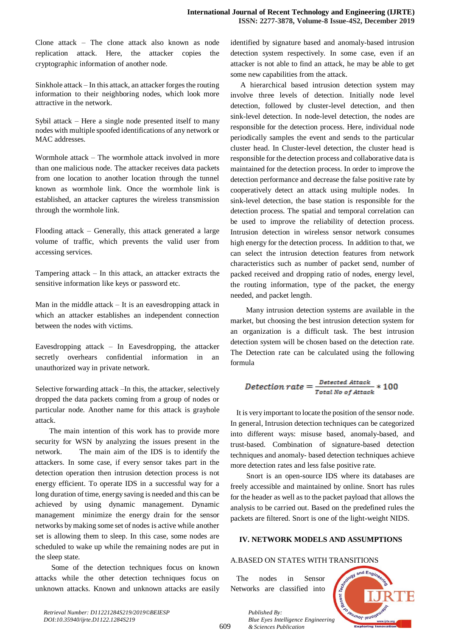Clone attack – The clone attack also known as node replication attack. Here, the attacker copies the cryptographic information of another node.

Sinkhole attack – In this attack, an attacker forges the routing information to their neighboring nodes, which look more attractive in the network.

Sybil attack – Here a single node presented itself to many nodes with multiple spoofed identifications of any network or MAC addresses.

Wormhole attack – The wormhole attack involved in more than one malicious node. The attacker receives data packets from one location to another location through the tunnel known as wormhole link. Once the wormhole link is established, an attacker captures the wireless transmission through the wormhole link.

Flooding attack – Generally, this attack generated a large volume of traffic, which prevents the valid user from accessing services.

Tampering attack  $-$  In this attack, an attacker extracts the sensitive information like keys or password etc.

Man in the middle attack  $-$  It is an eavesdropping attack in which an attacker establishes an independent connection between the nodes with victims.

Eavesdropping attack  $-$  In Eavesdropping, the attacker secretly overhears confidential information in an unauthorized way in private network.

Selective forwarding attack –In this, the attacker, selectively dropped the data packets coming from a group of nodes or particular node. Another name for this attack is grayhole attack.

 The main intention of this work has to provide more security for WSN by analyzing the issues present in the network. The main aim of the IDS is to identify the attackers. In some case, if every sensor takes part in the detection operation then intrusion detection process is not energy efficient. To operate IDS in a successful way for a long duration of time, energy saving is needed and this can be achieved by using dynamic management. Dynamic management minimize the energy drain for the sensor networks by making some set of nodes is active while another set is allowing them to sleep. In this case, some nodes are scheduled to wake up while the remaining nodes are put in the sleep state.

 Some of the detection techniques focus on known attacks while the other detection techniques focus on unknown attacks. Known and unknown attacks are easily identified by signature based and anomaly-based intrusion detection system respectively. In some case, even if an attacker is not able to find an attack, he may be able to get some new capabilities from the attack.

 A hierarchical based intrusion detection system may involve three levels of detection. Initially node level detection, followed by cluster-level detection, and then sink-level detection. In node-level detection, the nodes are responsible for the detection process. Here, individual node periodically samples the event and sends to the particular cluster head. In Cluster-level detection, the cluster head is responsible for the detection process and collaborative data is maintained for the detection process. In order to improve the detection performance and decrease the false positive rate by cooperatively detect an attack using multiple nodes. In sink-level detection, the base station is responsible for the detection process. The spatial and temporal correlation can be used to improve the reliability of detection process. Intrusion detection in wireless sensor network consumes high energy for the detection process. In addition to that, we can select the intrusion detection features from network characteristics such as number of packet send, number of packed received and dropping ratio of nodes, energy level, the routing information, type of the packet, the energy needed, and packet length.

Many intrusion detection systems are available in the market, but choosing the best intrusion detection system for an organization is a difficult task. The best intrusion detection system will be chosen based on the detection rate. The Detection rate can be calculated using the following formula

$$
Detection rate = \frac{Detected Attack}{Total No of Attack} * 100
$$

 It is very important to locate the position of the sensor node. In general, Intrusion detection techniques can be categorized into different ways: misuse based, anomaly-based, and trust-based. Combination of signature-based detection techniques and anomaly- based detection techniques achieve more detection rates and less false positive rate.

 Snort is an open-source IDS where its databases are freely accessible and maintained by online. Snort has rules for the header as well as to the packet payload that allows the analysis to be carried out. Based on the predefined rules the packets are filtered. Snort is one of the light-weight NIDS.

# **IV. NETWORK MODELS AND ASSUMPTIONS**

# A.BASED ON STATES WITH TRANSITIONS

 The nodes in Sensor Networks are classified into

*& Sciences Publication* 

*Published By:*

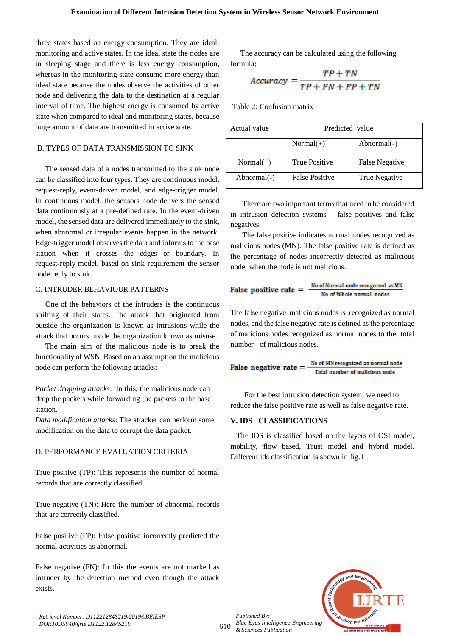three states based on energy consumption. They are ideal, monitoring and active states. In the ideal state the nodes are in sleeping stage and there is less energy consumption, whereas in the monitoring state consume more energy than ideal state because the nodes observe the activities of other node and delivering the data to the destination at a regular interval of time. The highest energy is consumed by active state when compared to ideal and monitoring states, because huge amount of data are transmitted in active state.

#### B. TYPES OF DATA TRANSMISSION TO SINK

 The sensed data of a nodes transmitted to the sink node can be classified into four types. They are continuous model, request-reply, event-driven model, and edge-trigger model. In continuous model, the sensors node delivers the sensed data continuously at a pre-defined rate. In the event-driven model, the sensed data are delivered immediately to the sink, when abnormal or irregular events happen in the network. Edge-trigger model observes the data and informs to the base station when it crosses the edges or boundary. In request-reply model, based on sink requirement the sensor node reply to sink.

## C. INTRUDER BEHAVIOUR PATTERNS

 One of the behaviors of the intruders is the continuous shifting of their states. The attack that originated from outside the organization is known as intrusions while the attack that occurs inside the organization known as misuse.

 The main aim of the malicious node is to break the functionality of WSN. Based on an assumption the malicious node can perform the following attacks:

*Packet dropping attacks*: In this, the malicious node can drop the packets while forwarding the packets to the base station.

*Data modification attacks*: The attacker can perform some modification on the data to corrupt the data packet.

## D. PERFORMANCE EVALUATION CRITERIA

True positive (TP): This represents the number of normal records that are correctly classified.

True negative (TN): Here the number of abnormal records that are correctly classified.

False positive (FP): False positive incorrectly predicted the normal activities as abnormal.

False negative (FN): In this the events are not marked as intruder by the detection method even though the attack exists.

 The accuracy can be calculated using the following formula:

$$
Accuracy = \frac{TP + TN}{TP + FN + FP + TN}
$$

Table 2: Confusion matrix

| Actual value | Predicted value       |                |  |
|--------------|-----------------------|----------------|--|
|              | $Normal(+)$           | Abnormal(-)    |  |
| $Normal(+)$  | <b>True Positive</b>  | False Negative |  |
| Abnormal(-)  | <b>False Positive</b> | True Negative  |  |

 There are two important terms that need to be considered in intrusion detection systems – false positives and false negatives.

 The false positive indicates normal nodes recognized as malicious nodes (MN). The false positive rate is defined as the percentage of nodes incorrectly detected as malicious node, when the node is not malicious.

False positive rate = 
$$
\frac{No \text{ of Normal node recognized as MN}}{No \text{ of Whole normal nodes}}
$$

The false negative malicious nodes is recognized as normal nodes, and the false negative rate is defined as the percentage of malicious nodes recognized as normal nodes to the total number of malicious nodes.

False negative rate = 
$$
\frac{No \text{ of MN recognized as normal node}}{\text{Total number of malicious node}}
$$

 For the best intrusion detection system, we need to reduce the false positive rate as well as false negative rate.

## **V. IDS CLASSIFICATIONS**

 The IDS is classified based on the layers of OSI model, mobility, flow based, Trust model and hybrid model. Different ids classification is shown in fig.1



*Retrieval Number: D11221284S219/2019©BEIESP DOI:10.35940/ijrte.D1122.1284S219*

610 *Blue Eyes Intelligence Engineering & Sciences Publication* 

*Published By:*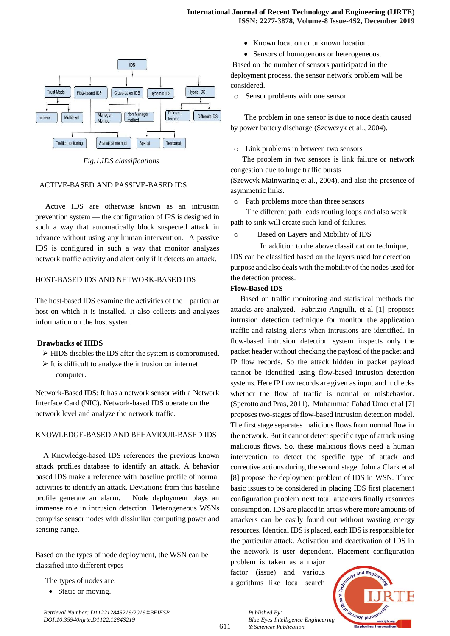#### **International Journal of Recent Technology and Engineering (IJRTE) ISSN: 2277-3878, Volume-8 Issue-4S2, December 2019**

• Known location or unknown location.



 *Fig.1.IDS classifications*

# ACTIVE-BASED AND PASSIVE-BASED IDS

 Active IDS are otherwise known as an intrusion prevention system — the configuration of IPS is designed in such a way that automatically block suspected attack in advance without using any human intervention. A passive IDS is configured in such a way that monitor analyzes network traffic activity and alert only if it detects an attack.

## HOST-BASED IDS AND NETWORK-BASED IDS

The host-based IDS examine the activities of the particular host on which it is installed. It also collects and analyzes information on the host system.

# **Drawbacks of HIDS**

- $\triangleright$  HIDS disables the IDS after the system is compromised.
- $\triangleright$  It is difficult to analyze the intrusion on internet computer.

Network-Based IDS: It has a network sensor with a Network Interface Card (NIC). Network-based IDS operate on the network level and analyze the network traffic.

# KNOWLEDGE-BASED AND BEHAVIOUR-BASED IDS

 A Knowledge-based IDS references the previous known attack profiles database to identify an attack. A behavior based IDS make a reference with baseline profile of normal activities to identify an attack. Deviations from this baseline profile generate an alarm. Node deployment plays an immense role in intrusion detection. Heterogeneous WSNs comprise sensor nodes with dissimilar computing power and sensing range.

Based on the types of node deployment, the WSN can be classified into different types

The types of nodes are:

• Static or moving.

• Sensors of homogenous or heterogeneous.

Based on the number of sensors participated in the deployment process, the sensor network problem will be considered.

o Sensor problems with one sensor

 The problem in one sensor is due to node death caused by power battery discharge (Szewczyk et al., 2004).

## o Link problems in between two sensors

 The problem in two sensors is link failure or network congestion due to huge traffic bursts

(Szewcyk Mainwaring et al., 2004), and also the presence of asymmetric links.

o Path problems more than three sensors

 The different path leads routing loops and also weak path to sink will create such kind of failures.

o Based on Layers and Mobility of IDS

In addition to the above classification technique,

IDS can be classified based on the layers used for detection purpose and also deals with the mobility of the nodes used for the detection process.

## **Flow-Based IDS**

 Based on traffic monitoring and statistical methods the attacks are analyzed. Fabrizio Angiulli, et al [1] proposes intrusion detection technique for monitor the application traffic and raising alerts when intrusions are identified. In flow-based intrusion detection system inspects only the packet header without checking the payload of the packet and IP flow records. So the attack hidden in packet payload cannot be identified using flow-based intrusion detection systems. Here IP flow records are given as input and it checks whether the flow of traffic is normal or misbehavior. (Sperotto and Pras, 2011). Muhammad Fahad Umer et al [7] proposes two-stages of flow-based intrusion detection model. The first stage separates malicious flows from normal flow in the network. But it cannot detect specific type of attack using malicious flows. So, these malicious flows need a human intervention to detect the specific type of attack and corrective actions during the second stage. John a Clark et al [8] propose the deployment problem of IDS in WSN. Three basic issues to be considered in placing IDS first placement configuration problem next total attackers finally resources consumption. IDS are placed in areas where more amounts of attackers can be easily found out without wasting energy resources. Identical IDS is placed, each IDS is responsible for the particular attack. Activation and deactivation of IDS in the network is user dependent. Placement configuration

problem is taken as a major factor (issue) and various algorithms like local search



*Published By: Blue Eyes Intelligence Engineering & Sciences Publication*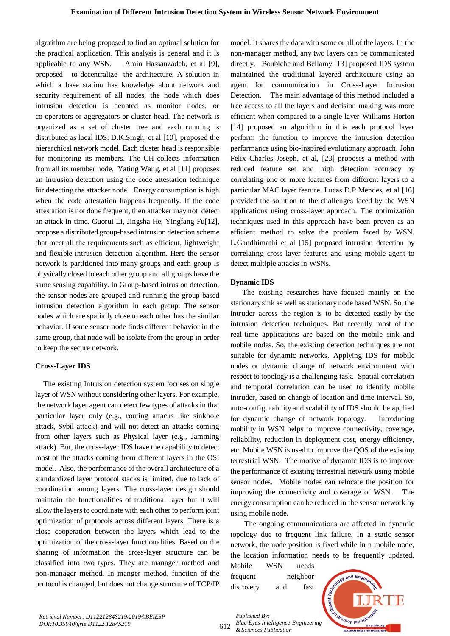algorithm are being proposed to find an optimal solution for the practical application. This analysis is general and it is applicable to any WSN. Amin Hassanzadeh, et al [9], proposed to decentralize the architecture. A solution in which a base station has knowledge about network and security requirement of all nodes, the node which does intrusion detection is denoted as monitor nodes, or co-operators or aggregators or cluster head. The network is organized as a set of cluster tree and each running is distributed as local IDS. D.K.Singh, et al [10], proposed the hierarchical network model. Each cluster head is responsible for monitoring its members. The CH collects information from all its member node. Yating Wang, et al [11] proposes an intrusion detection using the code attestation technique for detecting the attacker node. Energy consumption is high when the code attestation happens frequently. If the code attestation is not done frequent, then attacker may not detect an attack in time. Guorui Li, Jingsha He, Yingfang Fu[12], propose a distributed group-based intrusion detection scheme that meet all the requirements such as efficient, lightweight and flexible intrusion detection algorithm. Here the sensor network is partitioned into many groups and each group is physically closed to each other group and all groups have the same sensing capability. In Group-based intrusion detection, the sensor nodes are grouped and running the group based intrusion detection algorithm in each group. The sensor nodes which are spatially close to each other has the similar behavior. If some sensor node finds different behavior in the same group, that node will be isolate from the group in order to keep the secure network.

#### **Cross-Layer IDS**

 The existing Intrusion detection system focuses on single layer of WSN without considering other layers. For example, the network layer agent can detect few types of attacks in that particular layer only (e.g., routing attacks like sinkhole attack, Sybil attack) and will not detect an attacks coming from other layers such as Physical layer (e.g., Jamming attack). But, the cross-layer IDS have the capability to detect most of the attacks coming from different layers in the OSI model. Also, the performance of the overall architecture of a standardized layer protocol stacks is limited, due to lack of coordination among layers. The cross-layer design should maintain the functionalities of traditional layer but it will allow the layers to coordinate with each other to perform joint optimization of protocols across different layers. There is a close cooperation between the layers which lead to the optimization of the cross-layer functionalities. Based on the sharing of information the cross-layer structure can be classified into two types. They are manager method and non-manager method. In manger method, function of the protocol is changed, but does not change structure of TCP/IP

model. It shares the data with some or all of the layers. In the non-manager method, any two layers can be communicated directly. Boubiche and Bellamy [13] proposed IDS system maintained the traditional layered architecture using an agent for communication in Cross-Layer Intrusion Detection. The main advantage of this method included a free access to all the layers and decision making was more efficient when compared to a single layer Williams Horton [14] proposed an algorithm in this each protocol layer perform the function to improve the intrusion detection performance using bio-inspired evolutionary approach. John Felix Charles Joseph, et al, [23] proposes a method with reduced feature set and high detection accuracy by correlating one or more features from different layers to a particular MAC layer feature. Lucas D.P Mendes, et al [16] provided the solution to the challenges faced by the WSN applications using cross-layer approach. The optimization techniques used in this approach have been proven as an efficient method to solve the problem faced by WSN. L.Gandhimathi et al [15] proposed intrusion detection by correlating cross layer features and using mobile agent to detect multiple attacks in WSNs.

#### **Dynamic IDS**

 The existing researches have focused mainly on the stationary sink as well as stationary node based WSN. So, the intruder across the region is to be detected easily by the intrusion detection techniques. But recently most of the real-time applications are based on the mobile sink and mobile nodes. So, the existing detection techniques are not suitable for dynamic networks. Applying IDS for mobile nodes or dynamic change of network environment with respect to topology is a challenging task. Spatial correlation and temporal correlation can be used to identify mobile intruder, based on change of location and time interval. So, auto-configurability and scalability of IDS should be applied for dynamic change of network topology. Introducing mobility in WSN helps to improve connectivity, coverage, reliability, reduction in deployment cost, energy efficiency, etc. Mobile WSN is used to improve the QOS of the existing terrestrial WSN. The motive of dynamic IDS is to improve the performance of existing terrestrial network using mobile sensor nodes. Mobile nodes can relocate the position for improving the connectivity and coverage of WSN. The energy consumption can be reduced in the sensor network by using mobile node.

 The ongoing communications are affected in dynamic topology due to frequent link failure. In a static sensor network, the node position is fixed while in a mobile node, the location information needs to be frequently updated.

Mobile WSN needs frequent neighbor discovery and fast



*Retrieval Number: D11221284S219/2019©BEIESP DOI:10.35940/ijrte.D1122.1284S219*

612 *Published By: Blue Eyes Intelligence Engineering & Sciences Publication*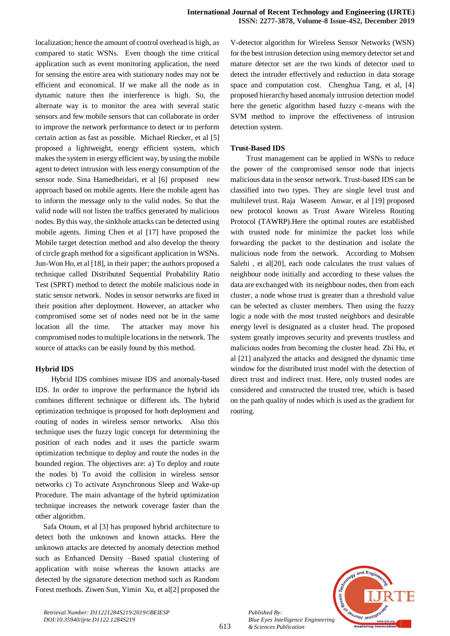localization; hence the amount of control overhead is high, as compared to static WSNs. Even though the time critical application such as event monitoring application, the need for sensing the entire area with stationary nodes may not be efficient and economical. If we make all the node as in dynamic nature then the interference is high. So, the alternate way is to monitor the area with several static sensors and few mobile sensors that can collaborate in order to improve the network performance to detect or to perform certain action as fast as possible. Michael Riecker, et al [5] proposed a lightweight, energy efficient system, which makes the system in energy efficient way, by using the mobile agent to detect intrusion with less energy consumption of the sensor node. Sina Hamedheidari, et al [6] proposed new approach based on mobile agents. Here the mobile agent has to inform the message only to the valid nodes. So that the valid node will not listen the traffics generated by malicious nodes. By this way, the sinkhole attacks can be detected using mobile agents. Jiming Chen et al [17] have proposed the Mobile target detection method and also develop the theory of circle graph method for a significant application in WSNs. Jun-Won Ho, et al [18], in their paper; the authors proposed a technique called Distributed Sequential Probability Ratio Test (SPRT) method to detect the mobile malicious node in static sensor network. Nodes in sensor networks are fixed in their position after deployment. However, an attacker who compromised some set of nodes need not be in the same location all the time. The attacker may move his compromised nodes to multiple locations in the network. The source of attacks can be easily found by this method.

# **Hybrid IDS**

 Hybrid IDS combines misuse IDS and anomaly-based IDS. In order to improve the performance the hybrid ids combines different technique or different ids. The hybrid optimization technique is proposed for both deployment and routing of nodes in wireless sensor networks. Also this technique uses the fuzzy logic concept for determining the position of each nodes and it uses the particle swarm optimization technique to deploy and route the nodes in the bounded region. The objectives are: a) To deploy and route the nodes b) To avoid the collision in wireless sensor networks c) To activate Asynchronous Sleep and Wake-up Procedure. The main advantage of the hybrid optimization technique increases the network coverage faster than the other algorithm.

 Safa Otoum, et al [3] has proposed hybrid architecture to detect both the unknown and known attacks. Here the unknown attacks are detected by anomaly detection method such as Enhanced Density –Based spatial clustering of application with noise whereas the known attacks are detected by the signature detection method such as Random Forest methods. Ziwen Sun, Yimin Xu, et al[2] proposed the

V-detector algorithm for Wireless Sensor Networks (WSN) for the best intrusion detection using memory detector set and mature detector set are the two kinds of detector used to detect the intruder effectively and reduction in data storage space and computation cost. Chenghua Tang, et al, [4] proposed hierarchy based anomaly intrusion detection model here the genetic algorithm based fuzzy c-means with the SVM method to improve the effectiveness of intrusion detection system.

# **Trust-Based IDS**

Trust management can be applied in WSNs to reduce the power of the compromised sensor node that injects malicious data in the sensor network. Trust-based IDS can be classified into two types. They are single level trust and multilevel trust. Raja Waseem Anwar, et al [19] proposed new protocol known as Trust Aware Wireless Routing Protocol (TAWRP).Here the optimal routes are established with trusted node for minimize the packet loss while forwarding the packet to the destination and isolate the malicious node from the network. According to Mohsen Salehi , et al[20], each node calculates the trust values of neighbour node initially and according to these values the data are exchanged with its neighbour nodes, then from each cluster, a node whose trust is greater than a threshold value can be selected as cluster members. Then using the fuzzy logic a node with the most trusted neighbors and desirable energy level is designated as a cluster head. The proposed system greatly improves security and prevents trustless and malicious nodes from becoming the cluster head. Zhi Hu, et al [21] analyzed the attacks and designed the dynamic time window for the distributed trust model with the detection of direct trust and indirect trust. Here, only trusted nodes are considered and constructed the trusted tree, which is based on the path quality of nodes which is used as the gradient for routing.



*Retrieval Number: D11221284S219/2019©BEIESP DOI:10.35940/ijrte.D1122.1284S219*

*Published By:*

*& Sciences Publication*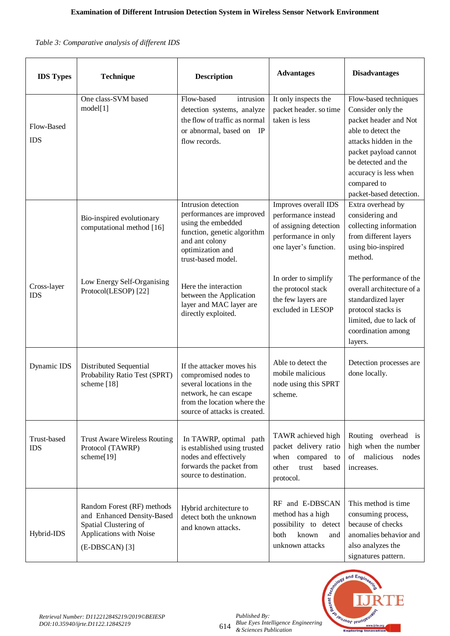*Table 3: Comparative analysis of different IDS*

| <b>IDS Types</b>          | <b>Technique</b>                                                                                                                        | <b>Description</b>                                                                                                                                                      | <b>Advantages</b>                                                                                                     | <b>Disadvantages</b>                                                                                                                                                                                                                  |
|---------------------------|-----------------------------------------------------------------------------------------------------------------------------------------|-------------------------------------------------------------------------------------------------------------------------------------------------------------------------|-----------------------------------------------------------------------------------------------------------------------|---------------------------------------------------------------------------------------------------------------------------------------------------------------------------------------------------------------------------------------|
| Flow-Based<br><b>IDS</b>  | One class-SVM based<br>model[1]                                                                                                         | Flow-based<br>intrusion<br>detection systems, analyze<br>the flow of traffic as normal<br>or abnormal, based on IP<br>flow records.                                     | It only inspects the<br>packet header. so time<br>taken is less                                                       | Flow-based techniques<br>Consider only the<br>packet header and Not<br>able to detect the<br>attacks hidden in the<br>packet payload cannot<br>be detected and the<br>accuracy is less when<br>compared to<br>packet-based detection. |
|                           | Bio-inspired evolutionary<br>computational method [16]                                                                                  | Intrusion detection<br>performances are improved<br>using the embedded<br>function, genetic algorithm<br>and ant colony<br>optimization and<br>trust-based model.       | Improves overall IDS<br>performance instead<br>of assigning detection<br>performance in only<br>one layer's function. | Extra overhead by<br>considering and<br>collecting information<br>from different layers<br>using bio-inspired<br>method.                                                                                                              |
| Cross-layer<br><b>IDS</b> | Low Energy Self-Organising<br>Protocol(LESOP) [22]                                                                                      | Here the interaction<br>between the Application<br>layer and MAC layer are<br>directly exploited.                                                                       | In order to simplify<br>the protocol stack<br>the few layers are<br>excluded in LESOP                                 | The performance of the<br>overall architecture of a<br>standardized layer<br>protocol stacks is<br>limited, due to lack of<br>coordination among<br>layers.                                                                           |
| Dynamic IDS               | Distributed Sequential<br>Probability Ratio Test (SPRT)<br>scheme [18]                                                                  | If the attacker moves his<br>compromised nodes to<br>several locations in the<br>network, he can escape<br>from the location where the<br>source of attacks is created. | Able to detect the<br>mobile malicious<br>node using this SPRT<br>scheme.                                             | Detection processes are<br>done locally.                                                                                                                                                                                              |
| Trust-based<br><b>IDS</b> | <b>Trust Aware Wireless Routing</b><br>Protocol (TAWRP)<br>scheme[19]                                                                   | In TAWRP, optimal path<br>is established using trusted<br>nodes and effectively<br>forwards the packet from<br>source to destination.                                   | TAWR achieved high<br>packet delivery ratio<br>when<br>compared to<br>other<br>trust<br>based<br>protocol.            | Routing overhead is<br>high when the number<br>malicious<br>of<br>nodes<br>increases.                                                                                                                                                 |
| Hybrid-IDS                | Random Forest (RF) methods<br>and Enhanced Density-Based<br>Spatial Clustering of<br>Applications with Noise<br>$(E\text{-}DBSCAN)$ [3] | Hybrid architecture to<br>detect both the unknown<br>and known attacks.                                                                                                 | RF and E-DBSCAN<br>method has a high<br>possibility to detect<br>both<br>known<br>and<br>unknown attacks              | This method is time<br>consuming process,<br>because of checks<br>anomalies behavior and<br>also analyzes the<br>signatures pattern.                                                                                                  |



614 *Published By: Blue Eyes Intelligence Engineering & Sciences Publication*